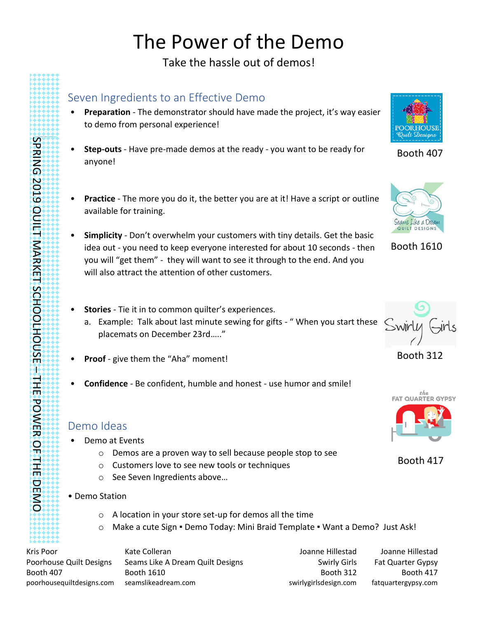## The Power of the Demo

Take the hassle out of demos!

## Seven Ingredients to an Effective Demo

- **Preparation** The demonstrator should have made the project, it's way easier to demo from personal experience!
- **Step-outs** Have pre-made demos at the ready you want to be ready for anyone!
- **Practice** The more you do it, the better you are at it! Have a script or outline available for training.
- **Simplicity** Don't overwhelm your customers with tiny details. Get the basic idea out - you need to keep everyone interested for about 10 seconds - then you will "get them" - they will want to see it through to the end. And you will also attract the attention of other customers.
- **Stories** Tie it in to common quilter's experiences.
	- a. Example: Talk about last minute sewing for gifts " When you start these placemats on December 23rd….."
- **Proof** give them the "Aha" moment!
- **Confidence** Be confident, humble and honest use humor and smile!

## Demo Ideas

SPRING 2019 QUILT MARKET SCHOOLHOUSE

–

THE POWER OF THE DEM

 $\mathbf{\mathsf{O}}$ 

- Demo at Events
	- o Demos are a proven way to sell because people stop to see
	- o Customers love to see new tools or techniques
	- o See Seven Ingredients above…
- Demo Station
	- o A location in your store set-up for demos all the time
	- o Make a cute Sign Demo Today: Mini Braid Template Want a Demo? Just Ask!

Kris Poor Poorhouse Quilt Designs Booth 407 poorhousequiltdesigns.com Kate Colleran Seams Like A Dream Quilt Designs Booth 1610 seamslikeadream.com

Joanne Hillestad Swirly Girls Booth 312 swirlygirlsdesign.com

Joanne Hillestad Fat Quarter Gypsy Booth 417 fatquartergypsy.com



Booth 407



Booth 1610



Booth 312



Booth 417